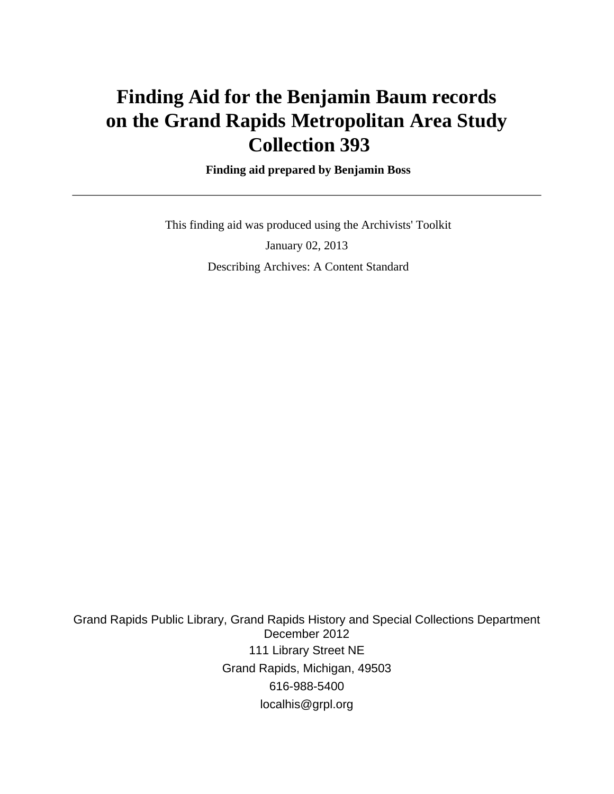# **Finding Aid for the Benjamin Baum records on the Grand Rapids Metropolitan Area Study Collection 393**

### **Finding aid prepared by Benjamin Boss**

 This finding aid was produced using the Archivists' Toolkit January 02, 2013 Describing Archives: A Content Standard

Grand Rapids Public Library, Grand Rapids History and Special Collections Department December 2012 111 Library Street NE Grand Rapids, Michigan, 49503 616-988-5400 localhis@grpl.org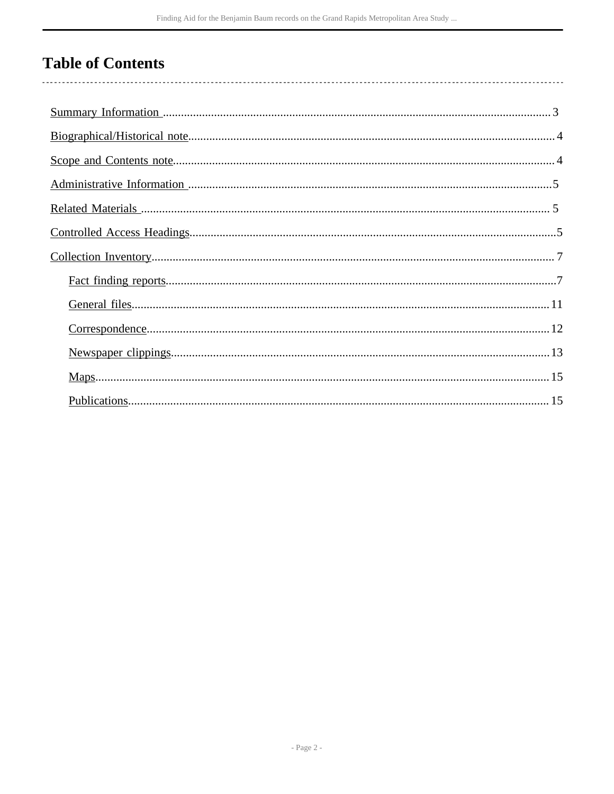# **Table of Contents**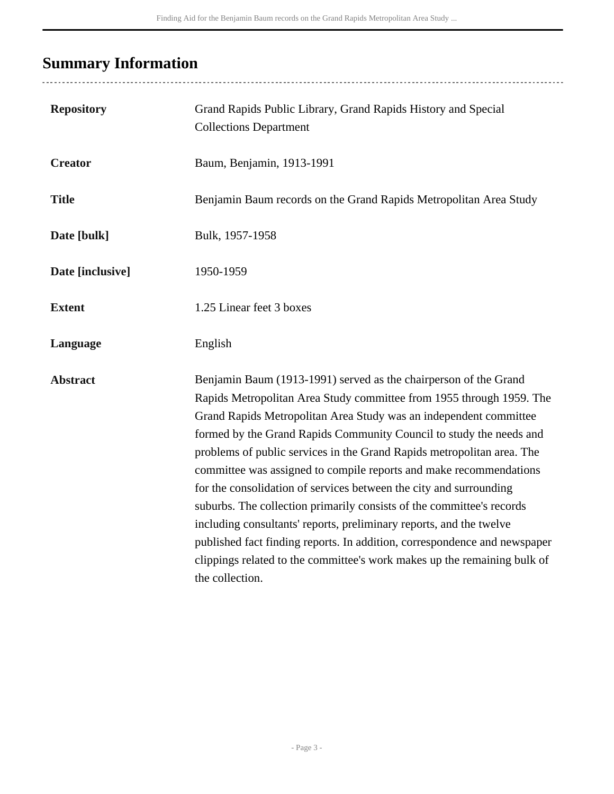# <span id="page-2-0"></span>**Summary Information**

.......................

| <b>Repository</b> | Grand Rapids Public Library, Grand Rapids History and Special<br><b>Collections Department</b>                                                                                                                                                                                                                                                                                                                                                                                                                                                                                                                                                                                                                                                                                                                                         |
|-------------------|----------------------------------------------------------------------------------------------------------------------------------------------------------------------------------------------------------------------------------------------------------------------------------------------------------------------------------------------------------------------------------------------------------------------------------------------------------------------------------------------------------------------------------------------------------------------------------------------------------------------------------------------------------------------------------------------------------------------------------------------------------------------------------------------------------------------------------------|
| <b>Creator</b>    | Baum, Benjamin, 1913-1991                                                                                                                                                                                                                                                                                                                                                                                                                                                                                                                                                                                                                                                                                                                                                                                                              |
| <b>Title</b>      | Benjamin Baum records on the Grand Rapids Metropolitan Area Study                                                                                                                                                                                                                                                                                                                                                                                                                                                                                                                                                                                                                                                                                                                                                                      |
| Date [bulk]       | Bulk, 1957-1958                                                                                                                                                                                                                                                                                                                                                                                                                                                                                                                                                                                                                                                                                                                                                                                                                        |
| Date [inclusive]  | 1950-1959                                                                                                                                                                                                                                                                                                                                                                                                                                                                                                                                                                                                                                                                                                                                                                                                                              |
| <b>Extent</b>     | 1.25 Linear feet 3 boxes                                                                                                                                                                                                                                                                                                                                                                                                                                                                                                                                                                                                                                                                                                                                                                                                               |
| Language          | English                                                                                                                                                                                                                                                                                                                                                                                                                                                                                                                                                                                                                                                                                                                                                                                                                                |
| <b>Abstract</b>   | Benjamin Baum (1913-1991) served as the chairperson of the Grand<br>Rapids Metropolitan Area Study committee from 1955 through 1959. The<br>Grand Rapids Metropolitan Area Study was an independent committee<br>formed by the Grand Rapids Community Council to study the needs and<br>problems of public services in the Grand Rapids metropolitan area. The<br>committee was assigned to compile reports and make recommendations<br>for the consolidation of services between the city and surrounding<br>suburbs. The collection primarily consists of the committee's records<br>including consultants' reports, preliminary reports, and the twelve<br>published fact finding reports. In addition, correspondence and newspaper<br>clippings related to the committee's work makes up the remaining bulk of<br>the collection. |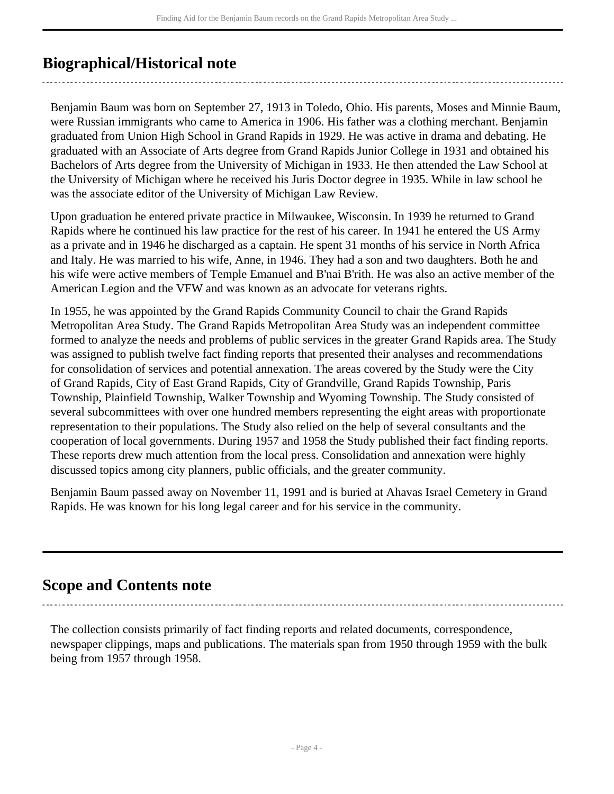# <span id="page-3-0"></span>**Biographical/Historical note**

Benjamin Baum was born on September 27, 1913 in Toledo, Ohio. His parents, Moses and Minnie Baum, were Russian immigrants who came to America in 1906. His father was a clothing merchant. Benjamin graduated from Union High School in Grand Rapids in 1929. He was active in drama and debating. He graduated with an Associate of Arts degree from Grand Rapids Junior College in 1931 and obtained his Bachelors of Arts degree from the University of Michigan in 1933. He then attended the Law School at the University of Michigan where he received his Juris Doctor degree in 1935. While in law school he was the associate editor of the University of Michigan Law Review.

Upon graduation he entered private practice in Milwaukee, Wisconsin. In 1939 he returned to Grand Rapids where he continued his law practice for the rest of his career. In 1941 he entered the US Army as a private and in 1946 he discharged as a captain. He spent 31 months of his service in North Africa and Italy. He was married to his wife, Anne, in 1946. They had a son and two daughters. Both he and his wife were active members of Temple Emanuel and B'nai B'rith. He was also an active member of the American Legion and the VFW and was known as an advocate for veterans rights.

In 1955, he was appointed by the Grand Rapids Community Council to chair the Grand Rapids Metropolitan Area Study. The Grand Rapids Metropolitan Area Study was an independent committee formed to analyze the needs and problems of public services in the greater Grand Rapids area. The Study was assigned to publish twelve fact finding reports that presented their analyses and recommendations for consolidation of services and potential annexation. The areas covered by the Study were the City of Grand Rapids, City of East Grand Rapids, City of Grandville, Grand Rapids Township, Paris Township, Plainfield Township, Walker Township and Wyoming Township. The Study consisted of several subcommittees with over one hundred members representing the eight areas with proportionate representation to their populations. The Study also relied on the help of several consultants and the cooperation of local governments. During 1957 and 1958 the Study published their fact finding reports. These reports drew much attention from the local press. Consolidation and annexation were highly discussed topics among city planners, public officials, and the greater community.

Benjamin Baum passed away on November 11, 1991 and is buried at Ahavas Israel Cemetery in Grand Rapids. He was known for his long legal career and for his service in the community.

## <span id="page-3-1"></span>**Scope and Contents note**

The collection consists primarily of fact finding reports and related documents, correspondence, newspaper clippings, maps and publications. The materials span from 1950 through 1959 with the bulk being from 1957 through 1958.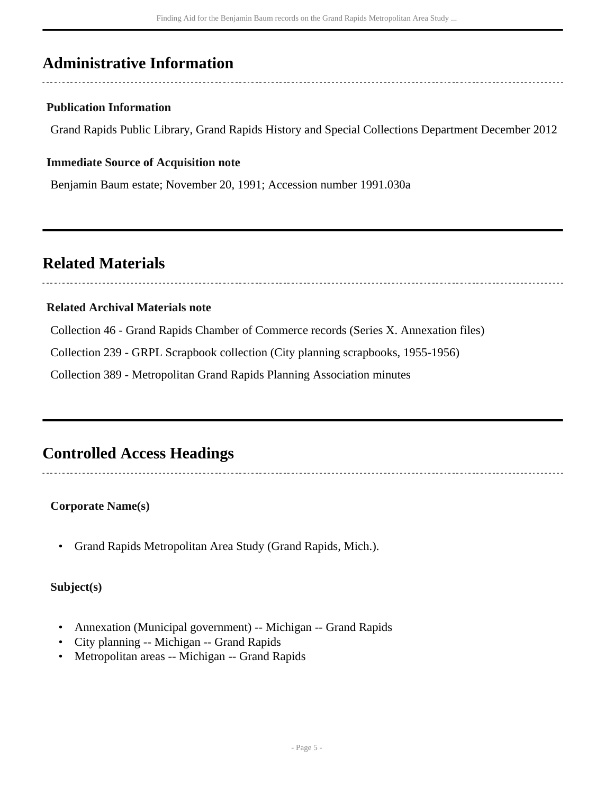# <span id="page-4-0"></span>**Administrative Information**

### **Publication Information**

Grand Rapids Public Library, Grand Rapids History and Special Collections Department December 2012

#### **Immediate Source of Acquisition note**

Benjamin Baum estate; November 20, 1991; Accession number 1991.030a

## <span id="page-4-1"></span>**Related Materials**

#### **Related Archival Materials note**

Collection 46 - Grand Rapids Chamber of Commerce records (Series X. Annexation files)

Collection 239 - GRPL Scrapbook collection (City planning scrapbooks, 1955-1956)

Collection 389 - Metropolitan Grand Rapids Planning Association minutes

# <span id="page-4-2"></span>**Controlled Access Headings**

#### **Corporate Name(s)**

• Grand Rapids Metropolitan Area Study (Grand Rapids, Mich.).

#### **Subject(s)**

- Annexation (Municipal government) -- Michigan -- Grand Rapids
- City planning -- Michigan -- Grand Rapids
- Metropolitan areas -- Michigan -- Grand Rapids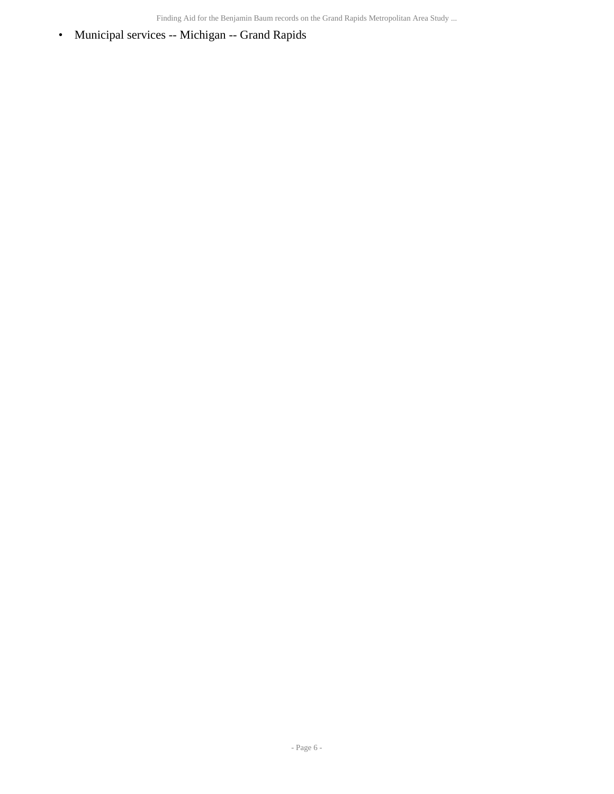Finding Aid for the Benjamin Baum records on the Grand Rapids Metropolitan Area Study ...

• Municipal services -- Michigan -- Grand Rapids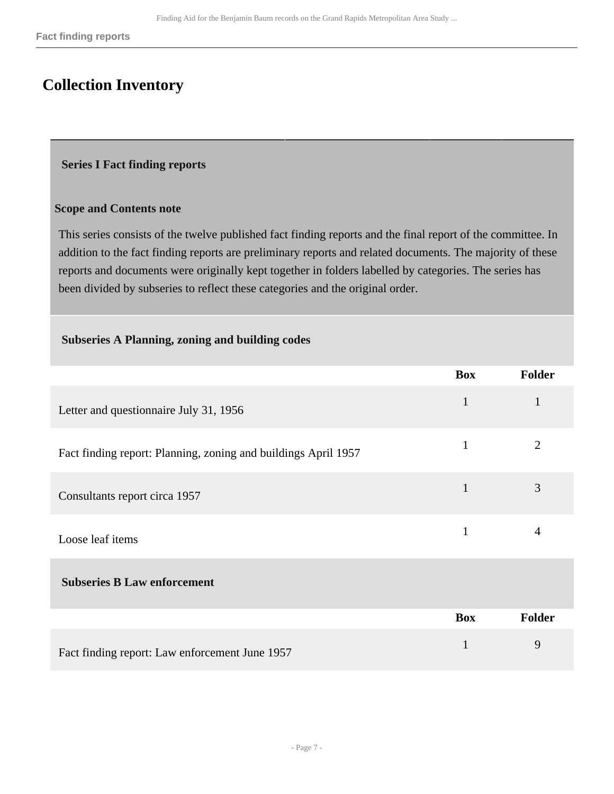# <span id="page-6-0"></span>**Collection Inventory**

#### <span id="page-6-1"></span> **Series I Fact finding reports**

#### **Scope and Contents note**

This series consists of the twelve published fact finding reports and the final report of the committee. In addition to the fact finding reports are preliminary reports and related documents. The majority of these reports and documents were originally kept together in folders labelled by categories. The series has been divided by subseries to reflect these categories and the original order.

#### **Subseries A Planning, zoning and building codes**

|                                                                | <b>Box</b>   | <b>Folder</b>  |
|----------------------------------------------------------------|--------------|----------------|
| Letter and questionnaire July 31, 1956                         | $\mathbf{1}$ | $\mathbf{1}$   |
| Fact finding report: Planning, zoning and buildings April 1957 | $\mathbf{1}$ | $\overline{2}$ |
| Consultants report circa 1957                                  | 1            | 3              |
| Loose leaf items                                               | $\mathbf{1}$ | $\overline{4}$ |
| <b>Subseries B Law enforcement</b>                             |              |                |
|                                                                | <b>Box</b>   | <b>Folder</b>  |
| Fact finding report: Law enforcement June 1957                 | $\mathbf{1}$ | 9              |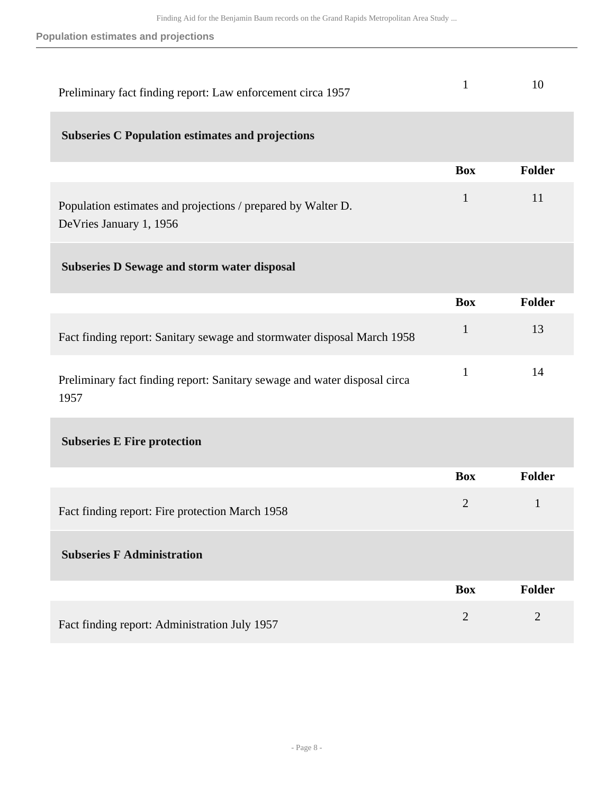**Population estimates and projections**

| Preliminary fact finding report: Law enforcement circa 1957                              |            | 10            |
|------------------------------------------------------------------------------------------|------------|---------------|
| <b>Subseries C Population estimates and projections</b>                                  |            |               |
|                                                                                          | <b>Box</b> | <b>Folder</b> |
| Population estimates and projections / prepared by Walter D.<br>De Vries January 1, 1956 | 1          | 11            |
| <b>Subseries D Sewage and storm water disposal</b>                                       |            |               |

|                                                                                   | <b>Box</b> | Folder |
|-----------------------------------------------------------------------------------|------------|--------|
| Fact finding report: Sanitary sewage and stormwater disposal March 1958           |            |        |
| Preliminary fact finding report: Sanitary sewage and water disposal circa<br>1957 |            | 14     |

### **Subseries E Fire protection**

|                                                 | <b>Box</b>     | <b>Folder</b> |
|-------------------------------------------------|----------------|---------------|
| Fact finding report: Fire protection March 1958 | $\overline{2}$ |               |
| <b>Subseries F Administration</b>               |                |               |
|                                                 | <b>Box</b>     | <b>Folder</b> |
| Fact finding report: Administration July 1957   | 2              | 2             |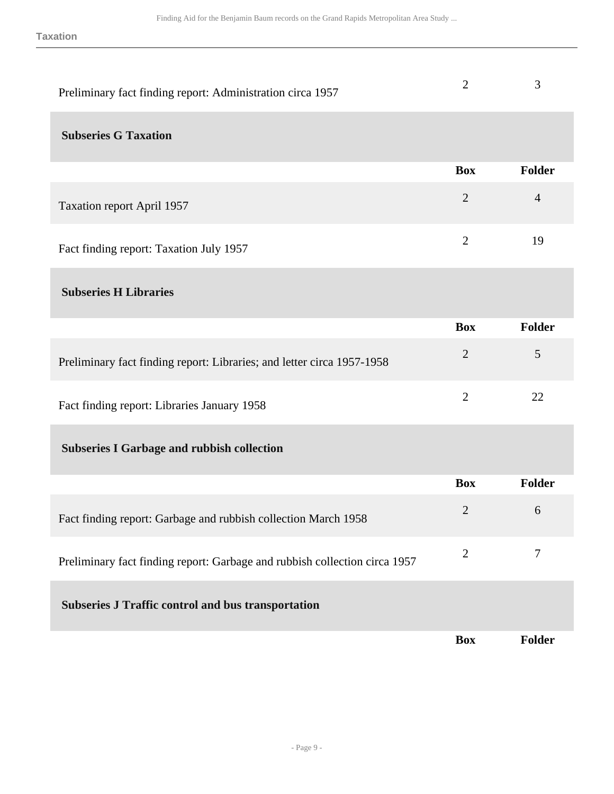| Preliminary fact finding report: Administration circa 1957                 | $\overline{2}$ | 3              |
|----------------------------------------------------------------------------|----------------|----------------|
| <b>Subseries G Taxation</b>                                                |                |                |
|                                                                            | <b>Box</b>     | Folder         |
| <b>Taxation report April 1957</b>                                          | $\overline{2}$ | $\overline{4}$ |
| Fact finding report: Taxation July 1957                                    | $\mathbf{2}$   | 19             |
| <b>Subseries H Libraries</b>                                               |                |                |
|                                                                            | <b>Box</b>     | Folder         |
| Preliminary fact finding report: Libraries; and letter circa 1957-1958     | $\overline{2}$ | 5              |
| Fact finding report: Libraries January 1958                                | $\overline{2}$ | 22             |
| <b>Subseries I Garbage and rubbish collection</b>                          |                |                |
|                                                                            | <b>Box</b>     | Folder         |
| Fact finding report: Garbage and rubbish collection March 1958             | $\overline{2}$ | 6              |
| Preliminary fact finding report: Garbage and rubbish collection circa 1957 | $\overline{2}$ | $\tau$         |
| <b>Subseries J Traffic control and bus transportation</b>                  |                |                |
|                                                                            | <b>Box</b>     | <b>Folder</b>  |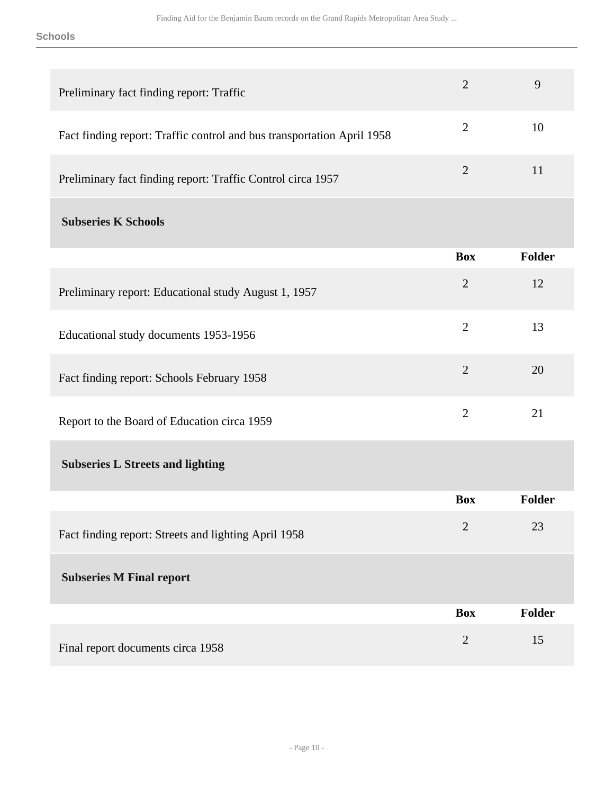#### **Schools**

| Preliminary fact finding report: Traffic                               | $\overline{2}$ | 9             |
|------------------------------------------------------------------------|----------------|---------------|
| Fact finding report: Traffic control and bus transportation April 1958 | $\overline{2}$ | 10            |
| Preliminary fact finding report: Traffic Control circa 1957            | $\overline{2}$ | 11            |
| <b>Subseries K Schools</b>                                             |                |               |
|                                                                        | <b>Box</b>     | Folder        |
| Preliminary report: Educational study August 1, 1957                   | $\overline{2}$ | 12            |
| Educational study documents 1953-1956                                  | $\overline{2}$ | 13            |
| Fact finding report: Schools February 1958                             | $\overline{2}$ | 20            |
| Report to the Board of Education circa 1959                            | $\overline{2}$ | 21            |
| <b>Subseries L Streets and lighting</b>                                |                |               |
|                                                                        | <b>Box</b>     | Folder        |
| Fact finding report: Streets and lighting April 1958                   | $\overline{2}$ | 23            |
| <b>Subseries M Final report</b>                                        |                |               |
|                                                                        | <b>Box</b>     | <b>Folder</b> |
| Final report documents circa 1958                                      | $\overline{2}$ | 15            |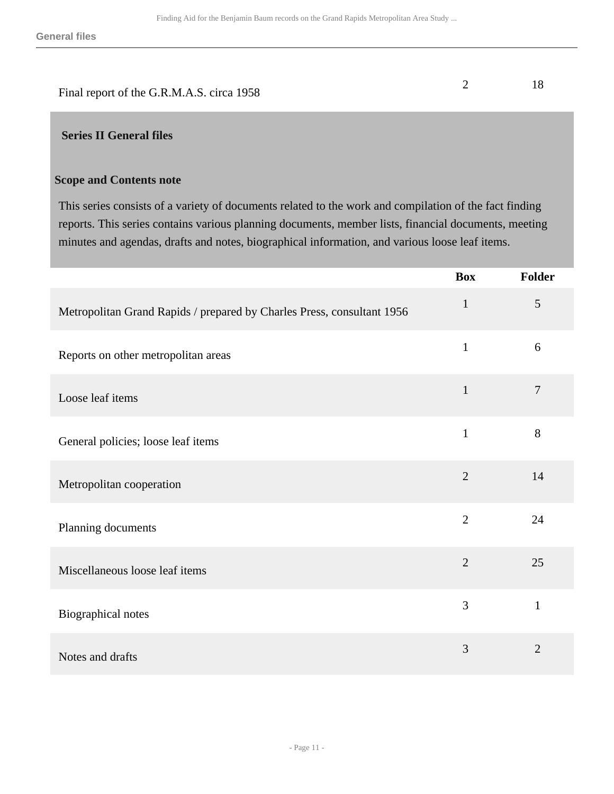| Final report of the G.R.M.A.S. circa 1958 |  |
|-------------------------------------------|--|

### <span id="page-10-0"></span> **Series II General files**

#### **Scope and Contents note**

This series consists of a variety of documents related to the work and compilation of the fact finding reports. This series contains various planning documents, member lists, financial documents, meeting minutes and agendas, drafts and notes, biographical information, and various loose leaf items.

|                                                                        | <b>Box</b>     | Folder         |
|------------------------------------------------------------------------|----------------|----------------|
| Metropolitan Grand Rapids / prepared by Charles Press, consultant 1956 | $\mathbf{1}$   | 5              |
| Reports on other metropolitan areas                                    | $\mathbf{1}$   | 6              |
| Loose leaf items                                                       | $\mathbf{1}$   | $\overline{7}$ |
| General policies; loose leaf items                                     | $\mathbf{1}$   | 8              |
| Metropolitan cooperation                                               | $\overline{2}$ | 14             |
| Planning documents                                                     | $\overline{2}$ | 24             |
| Miscellaneous loose leaf items                                         | $\overline{2}$ | 25             |
| Biographical notes                                                     | 3              | $\mathbf{1}$   |
| Notes and drafts                                                       | 3              | $\overline{2}$ |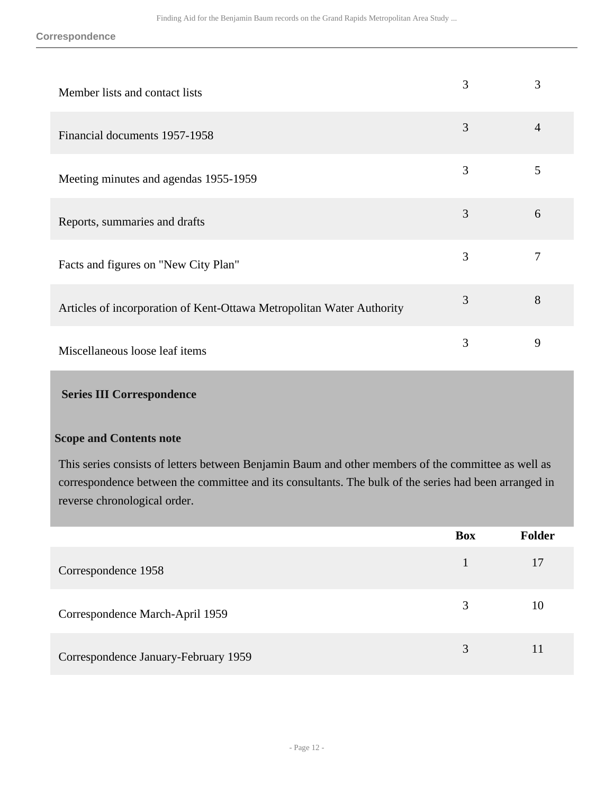**Correspondence**

| Member lists and contact lists                                        | 3 | 3              |
|-----------------------------------------------------------------------|---|----------------|
| Financial documents 1957-1958                                         | 3 | $\overline{4}$ |
| Meeting minutes and agendas 1955-1959                                 | 3 | 5              |
| Reports, summaries and drafts                                         | 3 | 6              |
| Facts and figures on "New City Plan"                                  | 3 | 7              |
| Articles of incorporation of Kent-Ottawa Metropolitan Water Authority | 3 | 8              |
| Miscellaneous loose leaf items                                        | 3 | 9              |

### <span id="page-11-0"></span> **Series III Correspondence**

#### **Scope and Contents note**

This series consists of letters between Benjamin Baum and other members of the committee as well as correspondence between the committee and its consultants. The bulk of the series had been arranged in reverse chronological order.

|                                      | <b>Box</b> | <b>Folder</b> |
|--------------------------------------|------------|---------------|
| Correspondence 1958                  |            | 17            |
| Correspondence March-April 1959      | 3          | 10            |
| Correspondence January-February 1959 | 3          | 11            |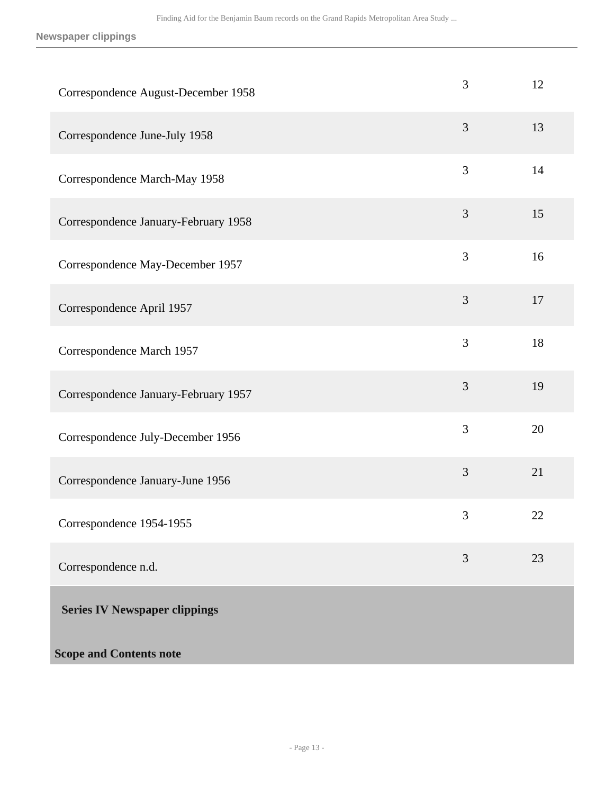**Newspaper clippings**

<span id="page-12-0"></span>

| Correspondence August-December 1958  | 3              | 12 |
|--------------------------------------|----------------|----|
| Correspondence June-July 1958        | 3              | 13 |
| Correspondence March-May 1958        | 3              | 14 |
| Correspondence January-February 1958 | $\mathfrak{Z}$ | 15 |
| Correspondence May-December 1957     | 3              | 16 |
| Correspondence April 1957            | 3              | 17 |
| Correspondence March 1957            | 3              | 18 |
| Correspondence January-February 1957 | 3              | 19 |
| Correspondence July-December 1956    | 3              | 20 |
| Correspondence January-June 1956     | 3              | 21 |
| Correspondence 1954-1955             | 3              | 22 |
| Correspondence n.d.                  | $\overline{3}$ | 23 |
| <b>Series IV Newspaper clippings</b> |                |    |
| <b>Scope and Contents note</b>       |                |    |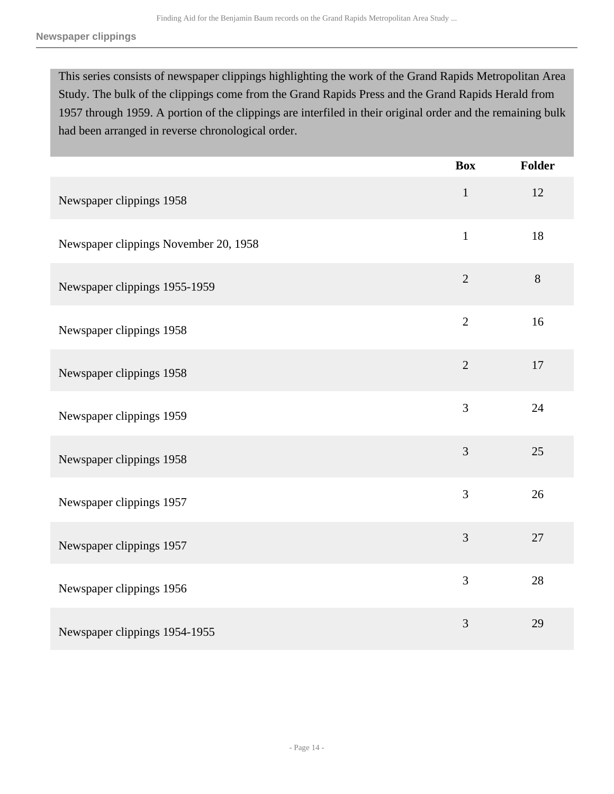This series consists of newspaper clippings highlighting the work of the Grand Rapids Metropolitan Area Study. The bulk of the clippings come from the Grand Rapids Press and the Grand Rapids Herald from 1957 through 1959. A portion of the clippings are interfiled in their original order and the remaining bulk had been arranged in reverse chronological order.

|                                       | <b>Box</b>     | <b>Folder</b> |
|---------------------------------------|----------------|---------------|
| Newspaper clippings 1958              | $\mathbf{1}$   | 12            |
| Newspaper clippings November 20, 1958 | $\mathbf{1}$   | 18            |
| Newspaper clippings 1955-1959         | $\overline{2}$ | $8\,$         |
| Newspaper clippings 1958              | $\overline{2}$ | 16            |
| Newspaper clippings 1958              | $\overline{2}$ | 17            |
| Newspaper clippings 1959              | 3              | 24            |
| Newspaper clippings 1958              | $\overline{3}$ | 25            |
| Newspaper clippings 1957              | 3              | 26            |
| Newspaper clippings 1957              | 3              | 27            |
| Newspaper clippings 1956              | $\overline{3}$ | 28            |
| Newspaper clippings 1954-1955         | 3              | 29            |